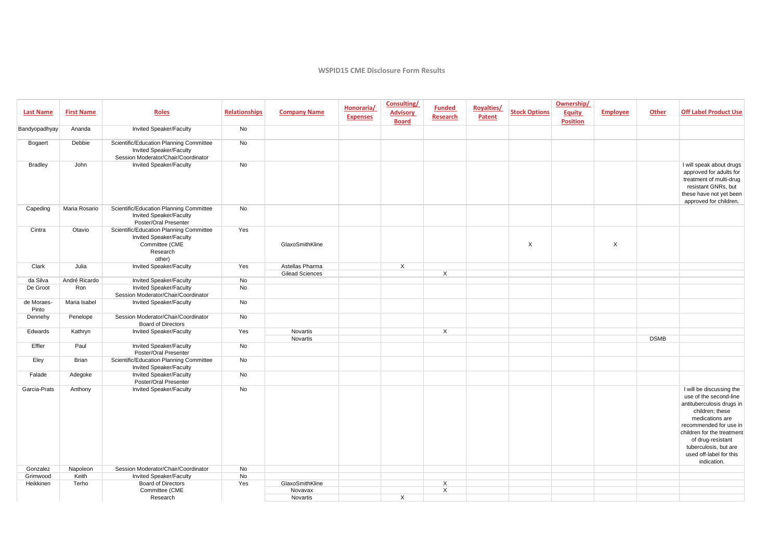## **WSPID15 CME Disclosure Form Results**

| <b>Last Name</b>    | <b>First Name</b> | <b>Roles</b>                                                                                               | <b>Relationships</b> | <b>Company Name</b>                       | Honoraria/<br><b>Expenses</b> | Consulting/<br><b>Advisory</b><br><b>Board</b> | <b>Funded</b><br><b>Research</b> | Royalties/<br>Patent | <b>Stock Options</b>      | Ownership/<br>Equity<br><b>Position</b> | <b>Employee</b> | Other       | <b>Off Label Product Use</b>                                                                                                                                                                                                                                          |
|---------------------|-------------------|------------------------------------------------------------------------------------------------------------|----------------------|-------------------------------------------|-------------------------------|------------------------------------------------|----------------------------------|----------------------|---------------------------|-----------------------------------------|-----------------|-------------|-----------------------------------------------------------------------------------------------------------------------------------------------------------------------------------------------------------------------------------------------------------------------|
| Bandyopadhyay       | Ananda            | Invited Speaker/Faculty                                                                                    | No                   |                                           |                               |                                                |                                  |                      |                           |                                         |                 |             |                                                                                                                                                                                                                                                                       |
| Bogaert             | Debbie            | Scientific/Education Planning Committee<br>Invited Speaker/Faculty<br>Session Moderator/Chair/Coordinator  | No                   |                                           |                               |                                                |                                  |                      |                           |                                         |                 |             |                                                                                                                                                                                                                                                                       |
| <b>Bradley</b>      | John              | Invited Speaker/Faculty                                                                                    | No                   |                                           |                               |                                                |                                  |                      |                           |                                         |                 |             | I will speak about drugs<br>approved for adults for<br>treatment of multi-drug<br>resistant GNRs, but<br>these have not yet been<br>approved for children.                                                                                                            |
| Capeding            | Maria Rosario     | Scientific/Education Planning Committee<br>Invited Speaker/Faculty<br>Poster/Oral Presenter                | No                   |                                           |                               |                                                |                                  |                      |                           |                                         |                 |             |                                                                                                                                                                                                                                                                       |
| Cintra              | Otavio            | Scientific/Education Planning Committee<br>Invited Speaker/Faculty<br>Committee (CME<br>Research<br>other) | Yes                  | GlaxoSmithKline                           |                               |                                                |                                  |                      | $\boldsymbol{\mathsf{X}}$ |                                         | X               |             |                                                                                                                                                                                                                                                                       |
| Clark               | Julia             | Invited Speaker/Faculty                                                                                    | Yes                  | Astellas Pharma<br><b>Gilead Sciences</b> |                               | X                                              | X                                |                      |                           |                                         |                 |             |                                                                                                                                                                                                                                                                       |
| da Silva            | André Ricardo     | Invited Speaker/Faculty                                                                                    | No                   |                                           |                               |                                                |                                  |                      |                           |                                         |                 |             |                                                                                                                                                                                                                                                                       |
| De Groot            | Ron               | Invited Speaker/Faculty<br>Session Moderator/Chair/Coordinator                                             | No                   |                                           |                               |                                                |                                  |                      |                           |                                         |                 |             |                                                                                                                                                                                                                                                                       |
| de Moraes-<br>Pinto | Maria Isabel      | Invited Speaker/Faculty                                                                                    | No                   |                                           |                               |                                                |                                  |                      |                           |                                         |                 |             |                                                                                                                                                                                                                                                                       |
| Dennehy             | Penelope          | Session Moderator/Chair/Coordinator<br><b>Board of Directors</b>                                           | No                   |                                           |                               |                                                |                                  |                      |                           |                                         |                 |             |                                                                                                                                                                                                                                                                       |
| Edwards             | Kathryn           | Invited Speaker/Faculty                                                                                    | Yes                  | Novartis<br>Novartis                      |                               |                                                | $\times$                         |                      |                           |                                         |                 | <b>DSMB</b> |                                                                                                                                                                                                                                                                       |
| Effler              | Paul              | Invited Speaker/Faculty<br>Poster/Oral Presenter                                                           | <b>No</b>            |                                           |                               |                                                |                                  |                      |                           |                                         |                 |             |                                                                                                                                                                                                                                                                       |
| Eley                | Brian             | Scientific/Education Planning Committee<br>Invited Speaker/Faculty                                         | No                   |                                           |                               |                                                |                                  |                      |                           |                                         |                 |             |                                                                                                                                                                                                                                                                       |
| Falade              | Adegoke           | Invited Speaker/Faculty<br>Poster/Oral Presenter                                                           | No                   |                                           |                               |                                                |                                  |                      |                           |                                         |                 |             |                                                                                                                                                                                                                                                                       |
| Garcia-Prats        | Anthony           | Invited Speaker/Faculty                                                                                    | No                   |                                           |                               |                                                |                                  |                      |                           |                                         |                 |             | I will be discussing the<br>use of the second-line<br>antituberculosis drugs in<br>children; these<br>medications are<br>recommended for use in<br>children for the treatment<br>of drug-resistant<br>tuberculosis, but are<br>used off-label for this<br>indication. |
| Gonzalez            | Napoleon          | Session Moderator/Chair/Coordinator                                                                        | No                   |                                           |                               |                                                |                                  |                      |                           |                                         |                 |             |                                                                                                                                                                                                                                                                       |
| Grimwood            | Keith             | Invited Speaker/Faculty                                                                                    | No                   |                                           |                               |                                                |                                  |                      |                           |                                         |                 |             |                                                                                                                                                                                                                                                                       |
| Heikkinen           | Terho             | <b>Board of Directors</b>                                                                                  | Yes                  | GlaxoSmithKline                           |                               |                                                | X                                |                      |                           |                                         |                 |             |                                                                                                                                                                                                                                                                       |
|                     |                   | Committee (CME                                                                                             |                      | Novavax                                   |                               |                                                | X                                |                      |                           |                                         |                 |             |                                                                                                                                                                                                                                                                       |
|                     |                   | Research                                                                                                   |                      | Novartis                                  |                               | $\times$                                       |                                  |                      |                           |                                         |                 |             |                                                                                                                                                                                                                                                                       |